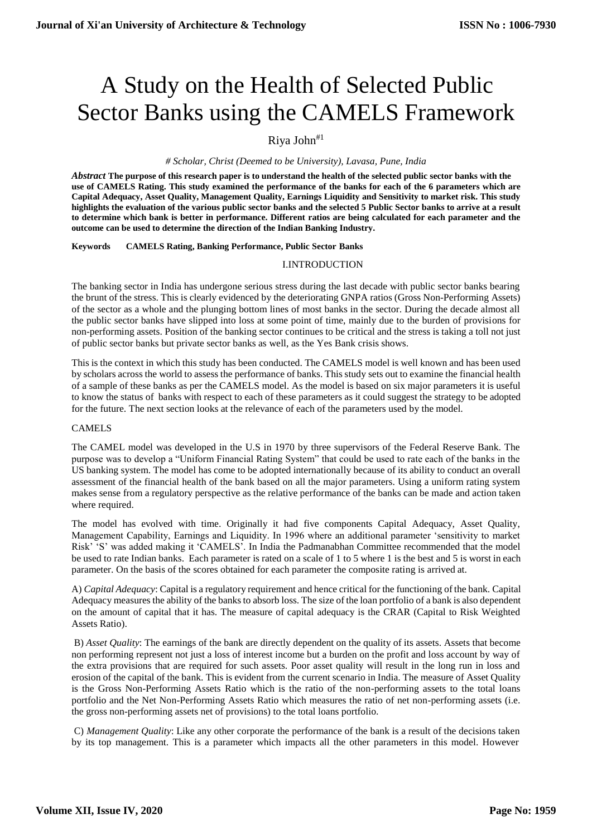# A Study on the Health of Selected Public Sector Banks using the CAMELS Framework

# Riva John $*1$

#### *# Scholar, Christ (Deemed to be University), Lavasa, Pune, India*

*Abstract* **The purpose of this research paper is to understand the health of the selected public sector banks with the use of CAMELS Rating. This study examined the performance of the banks for each of the 6 parameters which are Capital Adequacy, Asset Quality, Management Quality, Earnings Liquidity and Sensitivity to market risk. This study highlights the evaluation of the various public sector banks and the selected 5 Public Sector banks to arrive at a result to determine which bank is better in performance. Different ratios are being calculated for each parameter and the outcome can be used to determine the direction of the Indian Banking Industry.**

#### **Keywords CAMELS Rating, Banking Performance, Public Sector Banks**

#### I.INTRODUCTION

The banking sector in India has undergone serious stress during the last decade with public sector banks bearing the brunt of the stress. This is clearly evidenced by the deteriorating GNPA ratios (Gross Non-Performing Assets) of the sector as a whole and the plunging bottom lines of most banks in the sector. During the decade almost all the public sector banks have slipped into loss at some point of time, mainly due to the burden of provisions for non-performing assets. Position of the banking sector continues to be critical and the stress is taking a toll not just of public sector banks but private sector banks as well, as the Yes Bank crisis shows.

This is the context in which this study has been conducted. The CAMELS model is well known and has been used by scholars across the world to assess the performance of banks. This study sets out to examine the financial health of a sample of these banks as per the CAMELS model. As the model is based on six major parameters it is useful to know the status of banks with respect to each of these parameters as it could suggest the strategy to be adopted for the future. The next section looks at the relevance of each of the parameters used by the model.

#### CAMELS

The CAMEL model was developed in the U.S in 1970 by three supervisors of the Federal Reserve Bank. The purpose was to develop a "Uniform Financial Rating System" that could be used to rate each of the banks in the US banking system. The model has come to be adopted internationally because of its ability to conduct an overall assessment of the financial health of the bank based on all the major parameters. Using a uniform rating system makes sense from a regulatory perspective as the relative performance of the banks can be made and action taken where required.

The model has evolved with time. Originally it had five components Capital Adequacy, Asset Quality, Management Capability, Earnings and Liquidity. In 1996 where an additional parameter 'sensitivity to market Risk' 'S' was added making it 'CAMELS'. In India the Padmanabhan Committee recommended that the model be used to rate Indian banks. Each parameter is rated on a scale of 1 to 5 where 1 is the best and 5 is worst in each parameter. On the basis of the scores obtained for each parameter the composite rating is arrived at.

A) *Capital Adequacy*: Capital is a regulatory requirement and hence critical for the functioning of the bank. Capital Adequacy measures the ability of the banks to absorb loss. The size of the loan portfolio of a bank is also dependent on the amount of capital that it has. The measure of capital adequacy is the CRAR (Capital to Risk Weighted Assets Ratio).

B) *Asset Quality*: The earnings of the bank are directly dependent on the quality of its assets. Assets that become non performing represent not just a loss of interest income but a burden on the profit and loss account by way of the extra provisions that are required for such assets. Poor asset quality will result in the long run in loss and erosion of the capital of the bank. This is evident from the current scenario in India. The measure of Asset Quality is the Gross Non-Performing Assets Ratio which is the ratio of the non-performing assets to the total loans portfolio and the Net Non-Performing Assets Ratio which measures the ratio of net non-performing assets (i.e. the gross non-performing assets net of provisions) to the total loans portfolio.

C) *Management Quality*: Like any other corporate the performance of the bank is a result of the decisions taken by its top management. This is a parameter which impacts all the other parameters in this model. However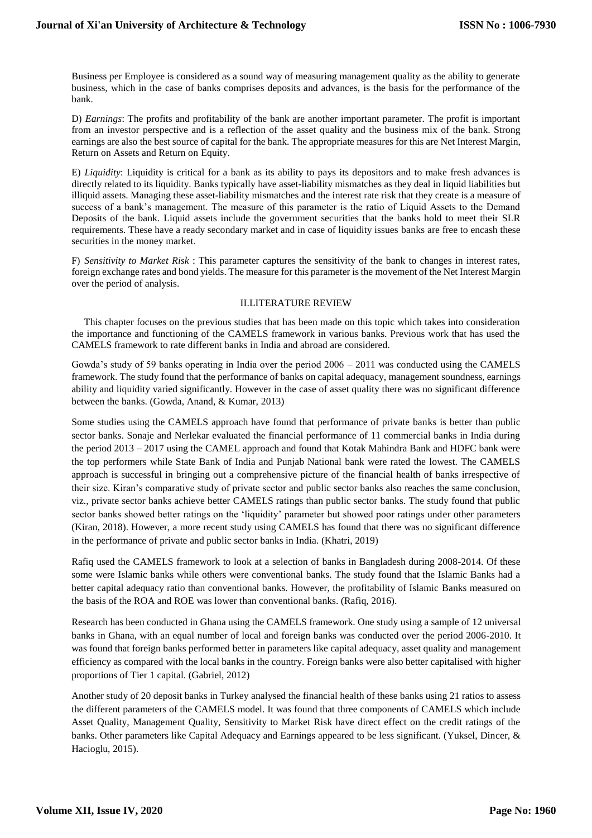Business per Employee is considered as a sound way of measuring management quality as the ability to generate business, which in the case of banks comprises deposits and advances, is the basis for the performance of the bank.

D) *Earnings*: The profits and profitability of the bank are another important parameter. The profit is important from an investor perspective and is a reflection of the asset quality and the business mix of the bank. Strong earnings are also the best source of capital for the bank. The appropriate measures for this are Net Interest Margin, Return on Assets and Return on Equity.

E) *Liquidity*: Liquidity is critical for a bank as its ability to pays its depositors and to make fresh advances is directly related to its liquidity. Banks typically have asset-liability mismatches as they deal in liquid liabilities but illiquid assets. Managing these asset-liability mismatches and the interest rate risk that they create is a measure of success of a bank's management. The measure of this parameter is the ratio of Liquid Assets to the Demand Deposits of the bank. Liquid assets include the government securities that the banks hold to meet their SLR requirements. These have a ready secondary market and in case of liquidity issues banks are free to encash these securities in the money market.

F) *Sensitivity to Market Risk* : This parameter captures the sensitivity of the bank to changes in interest rates, foreign exchange rates and bond yields. The measure for this parameter is the movement of the Net Interest Margin over the period of analysis.

#### II.LITERATURE REVIEW

This chapter focuses on the previous studies that has been made on this topic which takes into consideration the importance and functioning of the CAMELS framework in various banks. Previous work that has used the CAMELS framework to rate different banks in India and abroad are considered.

Gowda's study of 59 banks operating in India over the period 2006 – 2011 was conducted using the CAMELS framework. The study found that the performance of banks on capital adequacy, management soundness, earnings ability and liquidity varied significantly. However in the case of asset quality there was no significant difference between the banks. (Gowda, Anand, & Kumar, 2013)

Some studies using the CAMELS approach have found that performance of private banks is better than public sector banks. Sonaje and Nerlekar evaluated the financial performance of 11 commercial banks in India during the period 2013 – 2017 using the CAMEL approach and found that Kotak Mahindra Bank and HDFC bank were the top performers while State Bank of India and Punjab National bank were rated the lowest. The CAMELS approach is successful in bringing out a comprehensive picture of the financial health of banks irrespective of their size. Kiran's comparative study of private sector and public sector banks also reaches the same conclusion, viz., private sector banks achieve better CAMELS ratings than public sector banks. The study found that public sector banks showed better ratings on the 'liquidity' parameter but showed poor ratings under other parameters (Kiran, 2018). However, a more recent study using CAMELS has found that there was no significant difference in the performance of private and public sector banks in India. (Khatri, 2019)

Rafiq used the CAMELS framework to look at a selection of banks in Bangladesh during 2008-2014. Of these some were Islamic banks while others were conventional banks. The study found that the Islamic Banks had a better capital adequacy ratio than conventional banks. However, the profitability of Islamic Banks measured on the basis of the ROA and ROE was lower than conventional banks. (Rafiq, 2016).

Research has been conducted in Ghana using the CAMELS framework. One study using a sample of 12 universal banks in Ghana, with an equal number of local and foreign banks was conducted over the period 2006-2010. It was found that foreign banks performed better in parameters like capital adequacy, asset quality and management efficiency as compared with the local banks in the country. Foreign banks were also better capitalised with higher proportions of Tier 1 capital. (Gabriel, 2012)

Another study of 20 deposit banks in Turkey analysed the financial health of these banks using 21 ratios to assess the different parameters of the CAMELS model. It was found that three components of CAMELS which include Asset Quality, Management Quality, Sensitivity to Market Risk have direct effect on the credit ratings of the banks. Other parameters like Capital Adequacy and Earnings appeared to be less significant. (Yuksel, Dincer, & Hacioglu, 2015).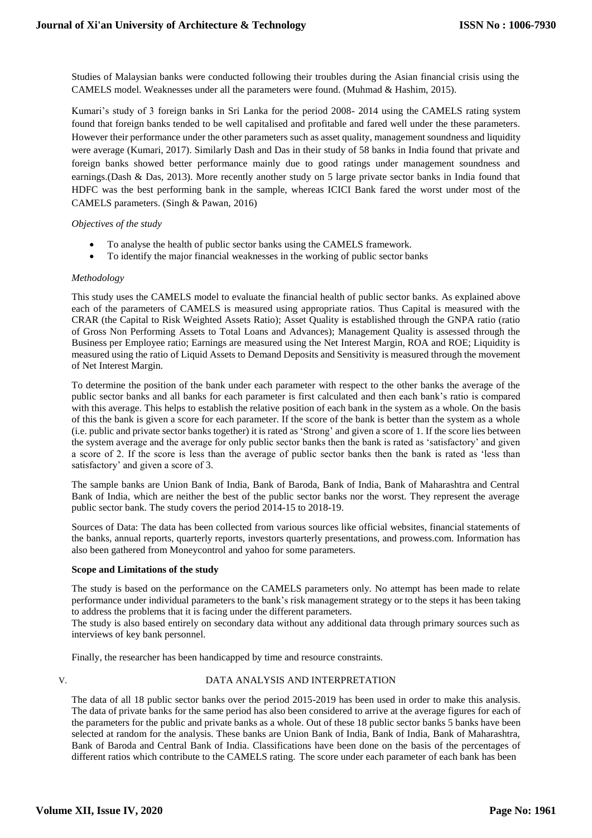Studies of Malaysian banks were conducted following their troubles during the Asian financial crisis using the CAMELS model. Weaknesses under all the parameters were found. (Muhmad & Hashim, 2015).

Kumari's study of 3 foreign banks in Sri Lanka for the period 2008- 2014 using the CAMELS rating system found that foreign banks tended to be well capitalised and profitable and fared well under the these parameters. However their performance under the other parameters such as asset quality, management soundness and liquidity were average (Kumari, 2017). Similarly Dash and Das in their study of 58 banks in India found that private and foreign banks showed better performance mainly due to good ratings under management soundness and earnings.(Dash & Das, 2013). More recently another study on 5 large private sector banks in India found that HDFC was the best performing bank in the sample, whereas ICICI Bank fared the worst under most of the CAMELS parameters. (Singh & Pawan, 2016)

# *Objectives of the study*

- To analyse the health of public sector banks using the CAMELS framework.
- To identify the major financial weaknesses in the working of public sector banks

#### *Methodology*

This study uses the CAMELS model to evaluate the financial health of public sector banks. As explained above each of the parameters of CAMELS is measured using appropriate ratios. Thus Capital is measured with the CRAR (the Capital to Risk Weighted Assets Ratio); Asset Quality is established through the GNPA ratio (ratio of Gross Non Performing Assets to Total Loans and Advances); Management Quality is assessed through the Business per Employee ratio; Earnings are measured using the Net Interest Margin, ROA and ROE; Liquidity is measured using the ratio of Liquid Assets to Demand Deposits and Sensitivity is measured through the movement of Net Interest Margin.

To determine the position of the bank under each parameter with respect to the other banks the average of the public sector banks and all banks for each parameter is first calculated and then each bank's ratio is compared with this average. This helps to establish the relative position of each bank in the system as a whole. On the basis of this the bank is given a score for each parameter. If the score of the bank is better than the system as a whole (i.e. public and private sector banks together) it is rated as 'Strong' and given a score of 1. If the score lies between the system average and the average for only public sector banks then the bank is rated as 'satisfactory' and given a score of 2. If the score is less than the average of public sector banks then the bank is rated as 'less than satisfactory' and given a score of 3.

The sample banks are Union Bank of India, Bank of Baroda, Bank of India, Bank of Maharashtra and Central Bank of India, which are neither the best of the public sector banks nor the worst. They represent the average public sector bank. The study covers the period 2014-15 to 2018-19.

Sources of Data: The data has been collected from various sources like official websites, financial statements of the banks, annual reports, quarterly reports, investors quarterly presentations, and prowess.com. Information has also been gathered from Moneycontrol and yahoo for some parameters.

#### **Scope and Limitations of the study**

The study is based on the performance on the CAMELS parameters only. No attempt has been made to relate performance under individual parameters to the bank's risk management strategy or to the steps it has been taking to address the problems that it is facing under the different parameters.

The study is also based entirely on secondary data without any additional data through primary sources such as interviews of key bank personnel.

Finally, the researcher has been handicapped by time and resource constraints.

# V. DATA ANALYSIS AND INTERPRETATION

The data of all 18 public sector banks over the period 2015-2019 has been used in order to make this analysis. The data of private banks for the same period has also been considered to arrive at the average figures for each of the parameters for the public and private banks as a whole. Out of these 18 public sector banks 5 banks have been selected at random for the analysis. These banks are Union Bank of India, Bank of India, Bank of Maharashtra, Bank of Baroda and Central Bank of India. Classifications have been done on the basis of the percentages of different ratios which contribute to the CAMELS rating. The score under each parameter of each bank has been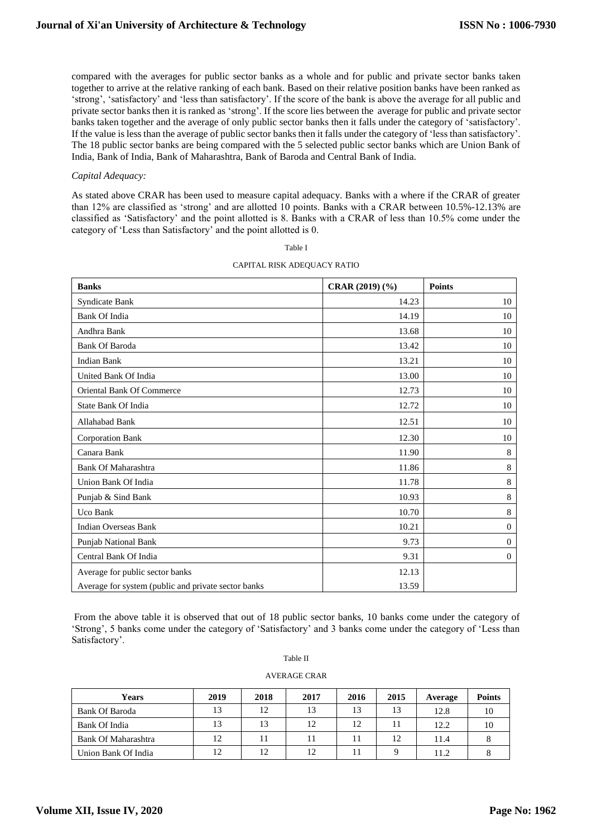compared with the averages for public sector banks as a whole and for public and private sector banks taken together to arrive at the relative ranking of each bank. Based on their relative position banks have been ranked as 'strong', 'satisfactory' and 'less than satisfactory'. If the score of the bank is above the average for all public and private sector banks then it is ranked as 'strong'. If the score lies between the average for public and private sector banks taken together and the average of only public sector banks then it falls under the category of 'satisfactory'. If the value is less than the average of public sector banks then it falls under the category of 'less than satisfactory'. The 18 public sector banks are being compared with the 5 selected public sector banks which are Union Bank of India, Bank of India, Bank of Maharashtra, Bank of Baroda and Central Bank of India.

#### *Capital Adequacy:*

As stated above CRAR has been used to measure capital adequacy. Banks with a where if the CRAR of greater than 12% are classified as 'strong' and are allotted 10 points. Banks with a CRAR between 10.5%-12.13% are classified as 'Satisfactory' and the point allotted is 8. Banks with a CRAR of less than 10.5% come under the category of 'Less than Satisfactory' and the point allotted is 0.

| <b>Banks</b>                                        | CRAR (2019) (%) | <b>Points</b> |
|-----------------------------------------------------|-----------------|---------------|
| Syndicate Bank                                      | 14.23           | 10            |
| <b>Bank Of India</b>                                | 14.19           | 10            |
| Andhra Bank                                         | 13.68           | 10            |
| <b>Bank Of Baroda</b>                               | 13.42           | 10            |
| <b>Indian Bank</b>                                  | 13.21           | 10            |
| United Bank Of India                                | 13.00           | 10            |
| Oriental Bank Of Commerce                           | 12.73           | 10            |
| <b>State Bank Of India</b>                          | 12.72           | 10            |
| Allahabad Bank                                      | 12.51           | 10            |
| <b>Corporation Bank</b>                             | 12.30           | 10            |
| Canara Bank                                         | 11.90           | 8             |
| <b>Bank Of Maharashtra</b>                          | 11.86           | 8             |
| Union Bank Of India                                 | 11.78           | 8             |
| Punjab & Sind Bank                                  | 10.93           | $\,8\,$       |
| Uco Bank                                            | 10.70           | $\,8\,$       |
| <b>Indian Overseas Bank</b>                         | 10.21           | $\theta$      |
| Punjab National Bank                                | 9.73            | $\mathbf{0}$  |
| Central Bank Of India                               | 9.31            | $\Omega$      |
| Average for public sector banks                     | 12.13           |               |
| Average for system (public and private sector banks | 13.59           |               |

# Table I CAPITAL RISK ADEQUACY RATIO

From the above table it is observed that out of 18 public sector banks, 10 banks come under the category of 'Strong', 5 banks come under the category of 'Satisfactory' and 3 banks come under the category of 'Less than Satisfactory'.

Table II

|  | AVERAGE CRAR |
|--|--------------|
|  |              |

| Years               | 2019 | 2018 | 2017 | 2016 | 2015 | Average | <b>Points</b> |
|---------------------|------|------|------|------|------|---------|---------------|
| Bank Of Baroda      | 13   | 12   | 13   | 13   | 13   | 12.8    | 10            |
| Bank Of India       | 13   | 13   | 12   | 12   |      | 12.2    | 10            |
| Bank Of Maharashtra | 12   |      |      |      | 12   | 11.4    |               |
| Union Bank Of India | 12   | 12   | 12   |      |      | 11.2    |               |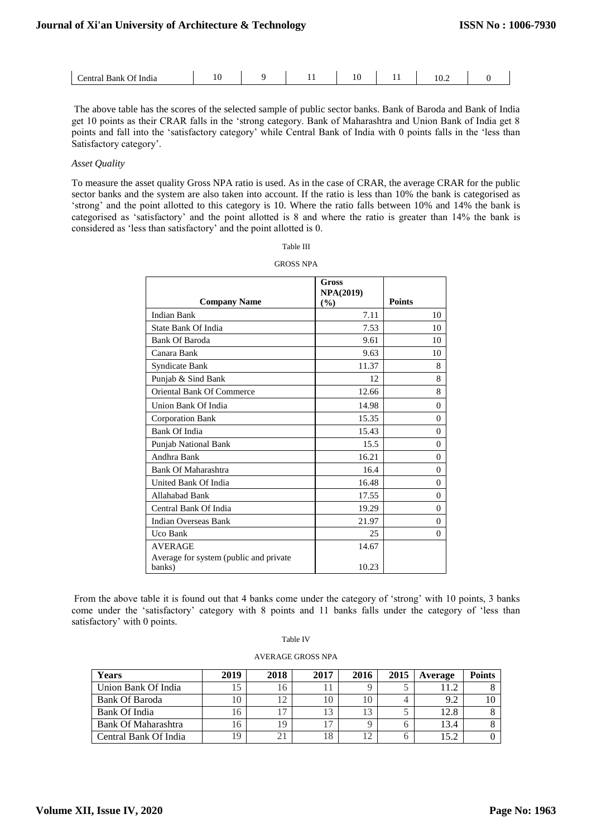| `entrs<br>Bank<br>India<br>$\mathbf{H}$ | 1 V<br>__ | . . | - 11<br>$-$ | . .<br>- - | ⊥∪.∠ |  |
|-----------------------------------------|-----------|-----|-------------|------------|------|--|
|                                         |           |     |             |            |      |  |

The above table has the scores of the selected sample of public sector banks. Bank of Baroda and Bank of India get 10 points as their CRAR falls in the 'strong category. Bank of Maharashtra and Union Bank of India get 8 points and fall into the 'satisfactory category' while Central Bank of India with 0 points falls in the 'less than Satisfactory category'.

#### *Asset Quality*

To measure the asset quality Gross NPA ratio is used. As in the case of CRAR, the average CRAR for the public sector banks and the system are also taken into account. If the ratio is less than 10% the bank is categorised as 'strong' and the point allotted to this category is 10. Where the ratio falls between 10% and 14% the bank is categorised as 'satisfactory' and the point allotted is 8 and where the ratio is greater than 14% the bank is considered as 'less than satisfactory' and the point allotted is 0.

|                                                  | Gross<br><b>NPA(2019)</b> |                |
|--------------------------------------------------|---------------------------|----------------|
| <b>Company Name</b>                              | (%)                       | <b>Points</b>  |
| <b>Indian Bank</b>                               | 7.11                      | 10             |
| State Bank Of India                              | 7.53                      | 10             |
| <b>Bank Of Baroda</b>                            | 9.61                      | 10             |
| Canara Bank                                      | 9.63                      | 10             |
| Syndicate Bank                                   | 11.37                     | 8              |
| Punjab & Sind Bank                               | 12                        | 8              |
| Oriental Bank Of Commerce                        | 12.66                     | 8              |
| Union Bank Of India                              | 14.98                     | $\theta$       |
| <b>Corporation Bank</b>                          | 15.35                     | $\theta$       |
| Bank Of India                                    | 15.43                     | $\theta$       |
| <b>Punjab National Bank</b>                      | 15.5                      | $\theta$       |
| Andhra Bank                                      | 16.21                     | $\theta$       |
| <b>Bank Of Maharashtra</b>                       | 16.4                      | $\theta$       |
| United Bank Of India                             | 16.48                     | $\theta$       |
| Allahabad Bank                                   | 17.55                     | $\overline{0}$ |
| Central Bank Of India                            | 19.29                     | $\theta$       |
| Indian Overseas Bank                             | 21.97                     | $\theta$       |
| Uco Bank                                         | 25                        | $\Omega$       |
| <b>AVERAGE</b>                                   | 14.67                     |                |
| Average for system (public and private<br>banks) | 10.23                     |                |

GROSS NPA

From the above table it is found out that 4 banks come under the category of 'strong' with 10 points, 3 banks come under the 'satisfactory' category with 8 points and 11 banks falls under the category of 'less than satisfactory' with 0 points.

| anie |
|------|
|------|

AVERAGE GROSS NPA

| <b>Years</b>          | 2019 | 2018 | 2017 | 2016 | 2015 | Average | <b>Points</b> |
|-----------------------|------|------|------|------|------|---------|---------------|
| Union Bank Of India   |      |      |      |      |      |         |               |
| Bank Of Baroda        | 10   |      |      |      |      | 9.2     |               |
| Bank Of India         | I h  |      |      |      |      | 12.8    |               |
| Bank Of Maharashtra   | 16   |      |      |      |      | 13.4    |               |
| Central Bank Of India | 19   |      | 18   |      |      | 15つ     |               |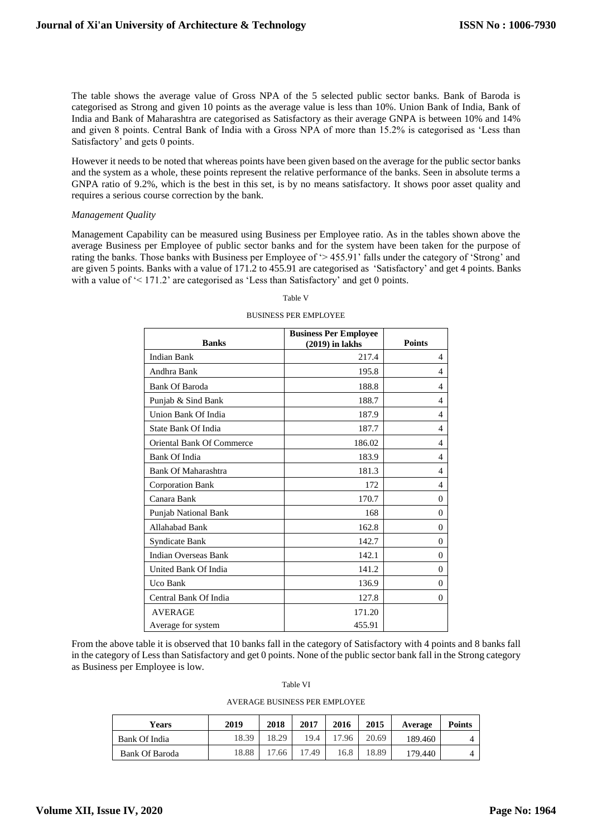The table shows the average value of Gross NPA of the 5 selected public sector banks. Bank of Baroda is categorised as Strong and given 10 points as the average value is less than 10%. Union Bank of India, Bank of India and Bank of Maharashtra are categorised as Satisfactory as their average GNPA is between 10% and 14% and given 8 points. Central Bank of India with a Gross NPA of more than 15.2% is categorised as 'Less than Satisfactory' and gets 0 points.

However it needs to be noted that whereas points have been given based on the average for the public sector banks and the system as a whole, these points represent the relative performance of the banks. Seen in absolute terms a GNPA ratio of 9.2%, which is the best in this set, is by no means satisfactory. It shows poor asset quality and requires a serious course correction by the bank.

#### *Management Quality*

Management Capability can be measured using Business per Employee ratio. As in the tables shown above the average Business per Employee of public sector banks and for the system have been taken for the purpose of rating the banks. Those banks with Business per Employee of '> 455.91' falls under the category of 'Strong' and are given 5 points. Banks with a value of 171.2 to 455.91 are categorised as 'Satisfactory' and get 4 points. Banks with a value of '< 171.2' are categorised as 'Less than Satisfactory' and get 0 points.

# **Banks Business Per Employee (2019) in lakhs Points** Indian Bank 217.4 4 Andhra Bank 195.8 and 195.8 and 195.8 and 195.8 and 195.8 and 195.8 and 195.8 and 195.8 and 195.8 and 195.8 and 195.8 and 195.8 and 195.8 and 195.8 and 195.8 and 195.8 and 195.8 and 195.8 and 195.8 and 195.8 and 197.1 and Bank Of Baroda 188.8 4 Punjab & Sind Bank 188.7 | 4 Union Bank Of India 187.9 4 State Bank Of India 187.7 | 4 Oriental Bank Of Commerce 186.02 | 186.02 | 4 Bank Of India 183.9 4 Bank Of Maharashtra 181.3 4 Corporation Bank 172 4 Canara Bank 170.7 0 Punjab National Bank 168 0 Allahabad Bank 162.8 0 Syndicate Bank 142.7 0 Indian Overseas Bank 142.1 0 United Bank Of India 2008 141.2 0 Uco Bank  $136.9$  0 Central Bank Of India 127.8 0 AVERAGE 171.20 Average for system and the 455.91

# Table V

BUSINESS PER EMPLOYEE

From the above table it is observed that 10 banks fall in the category of Satisfactory with 4 points and 8 banks fall in the category of Less than Satisfactory and get 0 points. None of the public sector bank fall in the Strong category as Business per Employee is low.

Table VI

AVERAGE BUSINESS PER EMPLOYEE

| Years                 | 2019  | 2018  | 2017 | 2016  | 2015  | Average | <b>Points</b> |
|-----------------------|-------|-------|------|-------|-------|---------|---------------|
| Bank Of India         | 8.39  | 18.29 | 19.4 | 17.96 | 20.69 | 189.460 |               |
| <b>Bank Of Baroda</b> | 18.88 | 7.66  | 7.49 | .6.8  | 18.89 | 179.440 |               |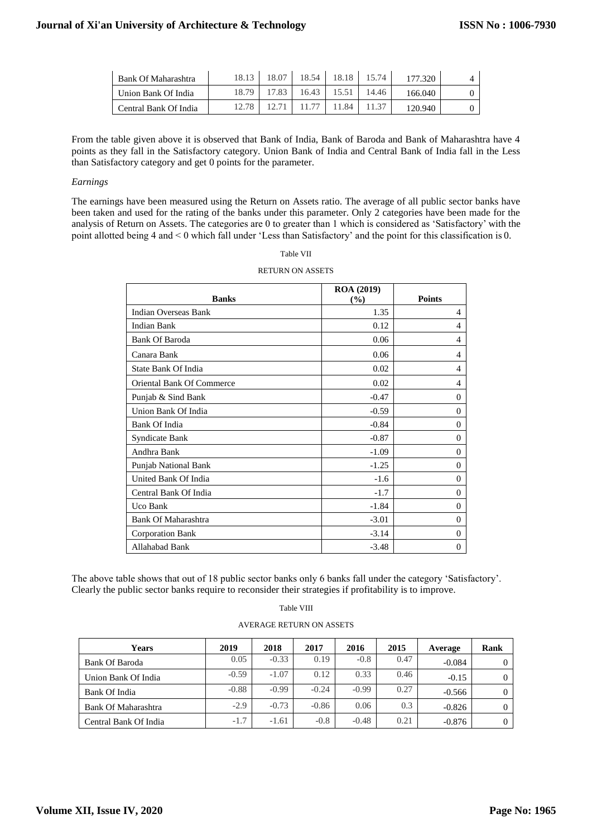| Bank Of Maharashtra   | 18.13 | 18.54 | 18.18 | 5 74  |         |  |
|-----------------------|-------|-------|-------|-------|---------|--|
| Union Bank Of India   | 18.79 | 16.43 |       | 14.46 | 166.040 |  |
| Central Bank Of India |       |       | .84   |       | 120.940 |  |

From the table given above it is observed that Bank of India, Bank of Baroda and Bank of Maharashtra have 4 points as they fall in the Satisfactory category. Union Bank of India and Central Bank of India fall in the Less than Satisfactory category and get 0 points for the parameter.

#### *Earnings*

The earnings have been measured using the Return on Assets ratio. The average of all public sector banks have been taken and used for the rating of the banks under this parameter. Only 2 categories have been made for the analysis of Return on Assets. The categories are 0 to greater than 1 which is considered as 'Satisfactory' with the point allotted being 4 and < 0 which fall under 'Less than Satisfactory' and the point for this classification is 0.

#### Table VII

| <b>Banks</b>               | <b>ROA</b> (2019)<br>(%) | <b>Points</b>  |
|----------------------------|--------------------------|----------------|
| Indian Overseas Bank       | 1.35                     | 4              |
| Indian Bank                | 0.12                     | 4              |
| <b>Bank Of Baroda</b>      | 0.06                     | 4              |
| Canara Bank                | 0.06                     | $\overline{4}$ |
| <b>State Bank Of India</b> | 0.02                     | 4              |
| Oriental Bank Of Commerce  | 0.02                     | 4              |
| Punjab & Sind Bank         | $-0.47$                  | $\Omega$       |
| Union Bank Of India        | $-0.59$                  | $\Omega$       |
| Bank Of India              | $-0.84$                  | $\Omega$       |
| Syndicate Bank             | $-0.87$                  | $\theta$       |
| Andhra Bank                | $-1.09$                  | $\Omega$       |
| Punjab National Bank       | $-1.25$                  | $\Omega$       |
| United Bank Of India       | $-1.6$                   | $\theta$       |
| Central Bank Of India      | $-1.7$                   | $\Omega$       |
| Uco Bank                   | $-1.84$                  | $\Omega$       |
| <b>Bank Of Maharashtra</b> | $-3.01$                  | $\Omega$       |
| <b>Corporation Bank</b>    | $-3.14$                  | $\Omega$       |
| Allahabad Bank             | $-3.48$                  | $\theta$       |

#### RETURN ON ASSETS

The above table shows that out of 18 public sector banks only 6 banks fall under the category 'Satisfactory'. Clearly the public sector banks require to reconsider their strategies if profitability is to improve.

#### AVERAGE RETURN ON ASSETS

| Years                 | 2019    | 2018    | 2017    | 2016    | 2015 | Average  | Rank |
|-----------------------|---------|---------|---------|---------|------|----------|------|
| <b>Bank Of Baroda</b> | 0.05    | $-0.33$ | 0.19    | $-0.8$  | 0.47 | $-0.084$ |      |
| Union Bank Of India   | $-0.59$ | $-1.07$ | 0.12    | 0.33    | 0.46 | $-0.15$  |      |
| Bank Of India         | $-0.88$ | $-0.99$ | $-0.24$ | $-0.99$ | 0.27 | $-0.566$ |      |
| Bank Of Maharashtra   | $-2.9$  | $-0.73$ | $-0.86$ | 0.06    | 0.3  | $-0.826$ |      |
| Central Bank Of India | $-1.7$  | $-1.61$ | $-0.8$  | $-0.48$ | 0.21 | $-0.876$ |      |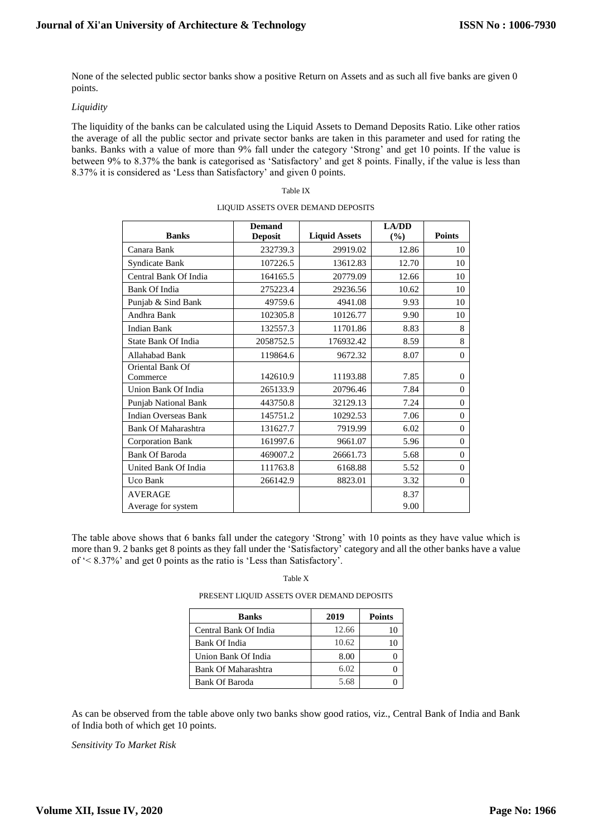None of the selected public sector banks show a positive Return on Assets and as such all five banks are given 0 points.

### *Liquidity*

The liquidity of the banks can be calculated using the Liquid Assets to Demand Deposits Ratio. Like other ratios the average of all the public sector and private sector banks are taken in this parameter and used for rating the banks. Banks with a value of more than 9% fall under the category 'Strong' and get 10 points. If the value is between 9% to 8.37% the bank is categorised as 'Satisfactory' and get 8 points. Finally, if the value is less than 8.37% it is considered as 'Less than Satisfactory' and given 0 points.

#### Table IX

| <b>Banks</b>                 | <b>Demand</b><br><b>Deposit</b> | <b>Liquid Assets</b> | <b>LA/DD</b><br>(%) | <b>Points</b>  |
|------------------------------|---------------------------------|----------------------|---------------------|----------------|
| Canara Bank                  | 232739.3                        | 29919.02             | 12.86               | 10             |
| Syndicate Bank               | 107226.5                        | 13612.83             | 12.70               | 10             |
| Central Bank Of India        | 164165.5                        | 20779.09             | 12.66               | 10             |
| <b>Bank Of India</b>         | 275223.4                        | 29236.56             | 10.62               | 10             |
| Punjab & Sind Bank           | 49759.6                         | 4941.08              | 9.93                | 10             |
| Andhra Bank                  | 102305.8                        | 10126.77             | 9.90                | 10             |
| <b>Indian Bank</b>           | 132557.3                        | 11701.86             | 8.83                | 8              |
| State Bank Of India          | 2058752.5                       | 176932.42            | 8.59                | 8              |
| Allahabad Bank               | 119864.6                        | 9672.32              | 8.07                | $\overline{0}$ |
| Oriental Bank Of<br>Commerce | 142610.9                        | 11193.88             | 7.85                | $\overline{0}$ |
| Union Bank Of India          | 265133.9                        | 20796.46             | 7.84                | $\theta$       |
| Punjab National Bank         | 443750.8                        | 32129.13             | 7.24                | $\mathbf{0}$   |
| <b>Indian Overseas Bank</b>  | 145751.2                        | 10292.53             | 7.06                | $\overline{0}$ |
| Bank Of Maharashtra          | 131627.7                        | 7919.99              | 6.02                | $\mathbf{0}$   |
| <b>Corporation Bank</b>      | 161997.6                        | 9661.07              | 5.96                | $\theta$       |
| <b>Bank Of Baroda</b>        | 469007.2                        | 26661.73             | 5.68                | $\overline{0}$ |
| United Bank Of India         | 111763.8                        | 6168.88              | 5.52                | $\overline{0}$ |
| Uco Bank                     | 266142.9                        | 8823.01              | 3.32                | $\theta$       |
| <b>AVERAGE</b>               |                                 |                      | 8.37                |                |
| Average for system           |                                 |                      | 9.00                |                |

### LIQUID ASSETS OVER DEMAND DEPOSITS

The table above shows that 6 banks fall under the category 'Strong' with 10 points as they have value which is more than 9. 2 banks get 8 points as they fall under the 'Satisfactory' category and all the other banks have a value of '< 8.37%' and get 0 points as the ratio is 'Less than Satisfactory'.

#### Table X

PRESENT LIQUID ASSETS OVER DEMAND DEPOSITS

| <b>Banks</b>          | 2019  | <b>Points</b> |
|-----------------------|-------|---------------|
| Central Bank Of India | 12.66 |               |
| Bank Of India         | 10.62 |               |
| Union Bank Of India   | 8.00  |               |
| Bank Of Maharashtra   | 6.02  |               |
| Bank Of Baroda        | 5.68  |               |

As can be observed from the table above only two banks show good ratios, viz., Central Bank of India and Bank of India both of which get 10 points.

*Sensitivity To Market Risk*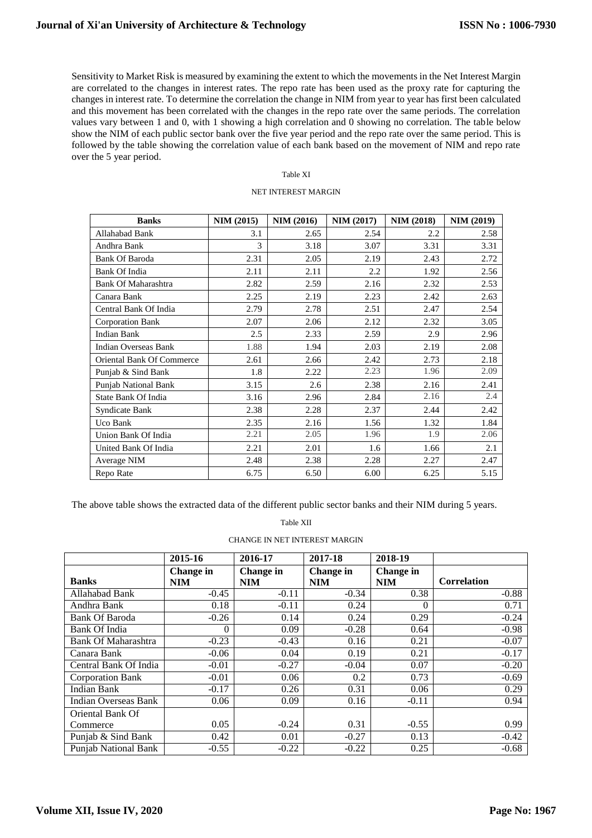Sensitivity to Market Risk is measured by examining the extent to which the movementsin the Net Interest Margin are correlated to the changes in interest rates. The repo rate has been used as the proxy rate for capturing the changes in interest rate. To determine the correlation the change in NIM from year to year has first been calculated and this movement has been correlated with the changes in the repo rate over the same periods. The correlation values vary between 1 and 0, with 1 showing a high correlation and 0 showing no correlation. The table below show the NIM of each public sector bank over the five year period and the repo rate over the same period. This is followed by the table showing the correlation value of each bank based on the movement of NIM and repo rate over the 5 year period.

#### Table XI

#### NET INTEREST MARGIN

| <b>Banks</b>                | <b>NIM (2015)</b> | <b>NIM (2016)</b> | <b>NIM (2017)</b> | <b>NIM (2018)</b> | <b>NIM (2019)</b> |
|-----------------------------|-------------------|-------------------|-------------------|-------------------|-------------------|
| Allahabad Bank              | 3.1               | 2.65              | 2.54              | 2.2               | 2.58              |
| Andhra Bank                 | 3                 | 3.18              | 3.07              | 3.31              | 3.31              |
| <b>Bank Of Baroda</b>       | 2.31              | 2.05              | 2.19              | 2.43              | 2.72              |
| Bank Of India               | 2.11              | 2.11              | 2.2               | 1.92              | 2.56              |
| Bank Of Maharashtra         | 2.82              | 2.59              | 2.16              | 2.32              | 2.53              |
| Canara Bank                 | 2.25              | 2.19              | 2.23              | 2.42              | 2.63              |
| Central Bank Of India       | 2.79              | 2.78              | 2.51              | 2.47              | 2.54              |
| Corporation Bank            | 2.07              | 2.06              | 2.12              | 2.32              | 3.05              |
| <b>Indian Bank</b>          | 2.5               | 2.33              | 2.59              | 2.9               | 2.96              |
| <b>Indian Overseas Bank</b> | 1.88              | 1.94              | 2.03              | 2.19              | 2.08              |
| Oriental Bank Of Commerce   | 2.61              | 2.66              | 2.42              | 2.73              | 2.18              |
| Punjab & Sind Bank          | 1.8               | 2.22              | 2.23              | 1.96              | 2.09              |
| Punjab National Bank        | 3.15              | 2.6               | 2.38              | 2.16              | 2.41              |
| <b>State Bank Of India</b>  | 3.16              | 2.96              | 2.84              | 2.16              | 2.4               |
| Syndicate Bank              | 2.38              | 2.28              | 2.37              | 2.44              | 2.42              |
| Uco Bank                    | 2.35              | 2.16              | 1.56              | 1.32              | 1.84              |
| Union Bank Of India         | 2.21              | 2.05              | 1.96              | 1.9               | 2.06              |
| United Bank Of India        | 2.21              | 2.01              | 1.6               | 1.66              | 2.1               |
| Average NIM                 | 2.48              | 2.38              | 2.28              | 2.27              | 2.47              |
| Repo Rate                   | 6.75              | 6.50              | 6.00              | 6.25              | 5.15              |

The above table shows the extracted data of the different public sector banks and their NIM during 5 years.

Table XII

CHANGE IN NET INTEREST MARGIN

|                             | 2015-16                        | 2016-17                 | 2017-18                 | 2018-19                 |                    |
|-----------------------------|--------------------------------|-------------------------|-------------------------|-------------------------|--------------------|
| <b>Banks</b>                | <b>Change</b> in<br><b>NIM</b> | Change in<br><b>NIM</b> | Change in<br><b>NIM</b> | Change in<br><b>NIM</b> | <b>Correlation</b> |
| Allahabad Bank              | $-0.45$                        | $-0.11$                 | $-0.34$                 | 0.38                    | $-0.88$            |
| Andhra Bank                 | 0.18                           | $-0.11$                 | 0.24                    | 0                       | 0.71               |
| <b>Bank Of Baroda</b>       | $-0.26$                        | 0.14                    | 0.24                    | 0.29                    | $-0.24$            |
| <b>Bank Of India</b>        | 0                              | 0.09                    | $-0.28$                 | 0.64                    | $-0.98$            |
| <b>Bank Of Maharashtra</b>  | $-0.23$                        | $-0.43$                 | 0.16                    | 0.21                    | $-0.07$            |
| Canara Bank                 | $-0.06$                        | 0.04                    | 0.19                    | 0.21                    | $-0.17$            |
| Central Bank Of India       | $-0.01$                        | $-0.27$                 | $-0.04$                 | 0.07                    | $-0.20$            |
| <b>Corporation Bank</b>     | $-0.01$                        | 0.06                    | 0.2                     | 0.73                    | $-0.69$            |
| <b>Indian Bank</b>          | $-0.17$                        | 0.26                    | 0.31                    | 0.06                    | 0.29               |
| <b>Indian Overseas Bank</b> | 0.06                           | 0.09                    | 0.16                    | $-0.11$                 | 0.94               |
| Oriental Bank Of            |                                |                         |                         |                         |                    |
| Commerce                    | 0.05                           | $-0.24$                 | 0.31                    | $-0.55$                 | 0.99               |
| Punjab & Sind Bank          | 0.42                           | 0.01                    | $-0.27$                 | 0.13                    | $-0.42$            |
| <b>Punjab National Bank</b> | $-0.55$                        | $-0.22$                 | $-0.22$                 | 0.25                    | $-0.68$            |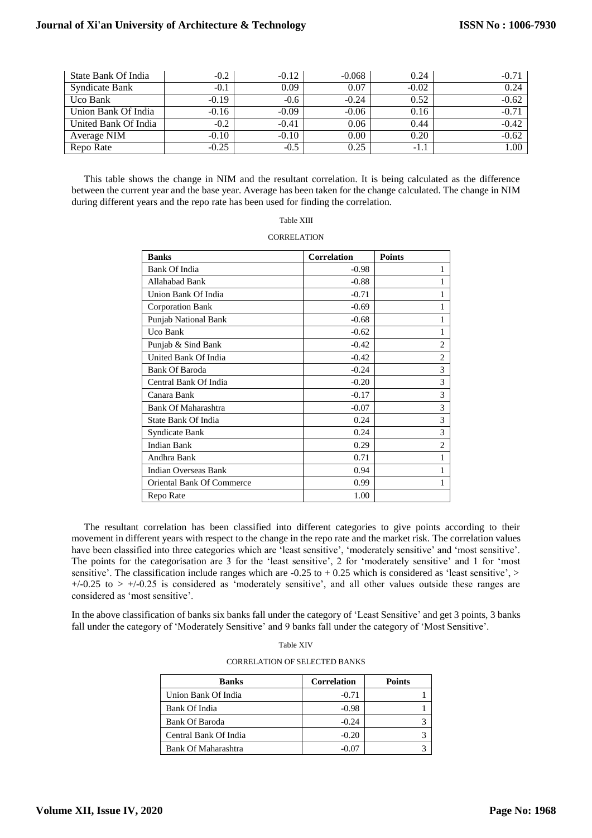# **Journal of Xi'an University of Architecture & Technology**

| State Bank Of India   | $-0.2$  | $-0.12$ | $-0.068$ | 0.24    | $-0.71$ |
|-----------------------|---------|---------|----------|---------|---------|
| <b>Syndicate Bank</b> | $-0.1$  | 0.09    | 0.07     | $-0.02$ | 0.24    |
| Uco Bank              | $-0.19$ | $-0.6$  | $-0.24$  | 0.52    | $-0.62$ |
| Union Bank Of India   | $-0.16$ | $-0.09$ | $-0.06$  | 0.16    | $-0.71$ |
| United Bank Of India  | $-0.2$  | $-0.41$ | 0.06     | 0.44    | $-0.42$ |
| Average NIM           | $-0.10$ | $-0.10$ | 0.00     | 0.20    | $-0.62$ |
| Repo Rate             | $-0.25$ | $-0.5$  | 0.25     | $-1.1$  | 1.00    |

This table shows the change in NIM and the resultant correlation. It is being calculated as the difference between the current year and the base year. Average has been taken for the change calculated. The change in NIM during different years and the repo rate has been used for finding the correlation.

| Table XIII |  |
|------------|--|
|------------|--|

#### **CORRELATION**

| <b>Banks</b>                | <b>Correlation</b> | <b>Points</b>  |
|-----------------------------|--------------------|----------------|
| <b>Bank Of India</b>        | $-0.98$            | 1              |
| Allahabad Bank              | $-0.88$            | 1              |
| Union Bank Of India         | $-0.71$            | 1              |
| <b>Corporation Bank</b>     | $-0.69$            | 1              |
| <b>Punjab National Bank</b> | $-0.68$            | 1              |
| Uco Bank                    | $-0.62$            | 1              |
| Punjab & Sind Bank          | $-0.42$            | $\overline{2}$ |
| United Bank Of India        | $-0.42$            | $\overline{2}$ |
| <b>Bank Of Baroda</b>       | $-0.24$            | 3              |
| Central Bank Of India       | $-0.20$            | 3              |
| Canara Bank                 | $-0.17$            | 3              |
| Bank Of Maharashtra         | $-0.07$            | 3              |
| State Bank Of India         | 0.24               | 3              |
| Syndicate Bank              | 0.24               | 3              |
| <b>Indian Bank</b>          | 0.29               | $\overline{2}$ |
| Andhra Bank                 | 0.71               | 1              |
| <b>Indian Overseas Bank</b> | 0.94               | 1              |
| Oriental Bank Of Commerce   | 0.99               | 1              |
| Repo Rate                   | 1.00               |                |

The resultant correlation has been classified into different categories to give points according to their movement in different years with respect to the change in the repo rate and the market risk. The correlation values have been classified into three categories which are 'least sensitive', 'moderately sensitive' and 'most sensitive'. The points for the categorisation are 3 for the 'least sensitive', 2 for 'moderately sensitive' and 1 for 'most sensitive'. The classification include ranges which are  $-0.25$  to  $+0.25$  which is considered as 'least sensitive', >  $+/-0.25$  to  $> +/-0.25$  is considered as 'moderately sensitive', and all other values outside these ranges are considered as 'most sensitive'.

In the above classification of banks six banks fall under the category of 'Least Sensitive' and get 3 points, 3 banks fall under the category of 'Moderately Sensitive' and 9 banks fall under the category of 'Most Sensitive'.

| <b>Banks</b>          | <b>Correlation</b> | <b>Points</b> |  |  |  |  |
|-----------------------|--------------------|---------------|--|--|--|--|
| Union Bank Of India   | $-0.71$            |               |  |  |  |  |
| Bank Of India         | $-0.98$            |               |  |  |  |  |
| <b>Bank Of Baroda</b> | $-0.24$            |               |  |  |  |  |
| Central Bank Of India | $-0.20$            |               |  |  |  |  |
| Bank Of Maharashtra   |                    |               |  |  |  |  |

Table XIV CORRELATION OF SELECTED BANKS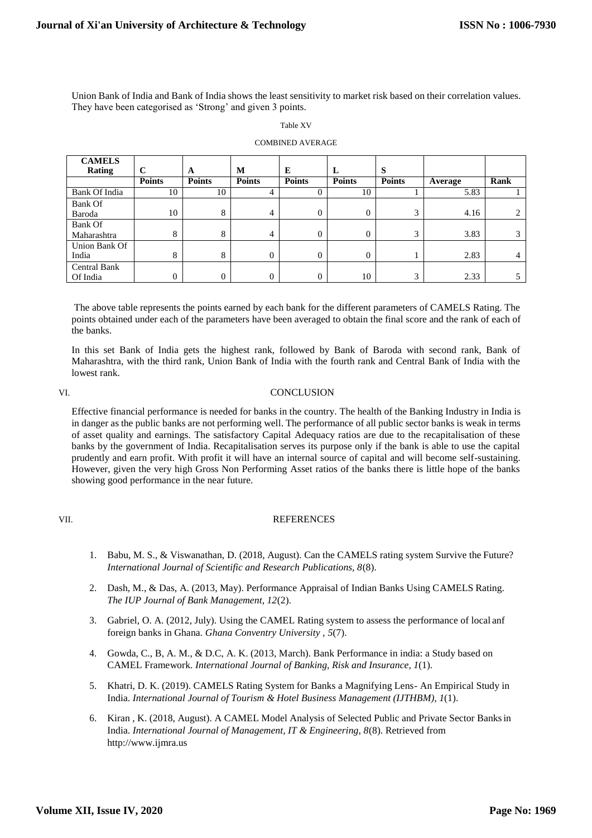Union Bank of India and Bank of India shows the least sensitivity to market risk based on their correlation values. They have been categorised as 'Strong' and given 3 points.

| mk |  |
|----|--|
|    |  |

#### COMBINED AVERAGE

| <b>CAMELS</b>       |               |               |               |               |                |               |         |      |
|---------------------|---------------|---------------|---------------|---------------|----------------|---------------|---------|------|
| <b>Rating</b>       | $\mathbf C$   | A             | M             | E             | L              | S             |         |      |
|                     | <b>Points</b> | <b>Points</b> | <b>Points</b> | <b>Points</b> | <b>Points</b>  | <b>Points</b> | Average | Rank |
| Bank Of India       | 10            | 10            | 4             | 0             | 10             |               | 5.83    |      |
| Bank Of             |               |               |               |               |                |               |         |      |
| Baroda              | 10            | 8             | 4             | $\Omega$      | $\overline{0}$ | 3             | 4.16    | 2    |
| Bank Of             |               |               |               |               |                |               |         |      |
| Maharashtra         | 8             | 8             | 4             | $\Omega$      | $\overline{0}$ | 3             | 3.83    | 3    |
| Union Bank Of       |               |               |               |               |                |               |         |      |
| India               | 8             | 8             | $\Omega$      | $\Omega$      | $\overline{0}$ |               | 2.83    | 4    |
| <b>Central Bank</b> |               |               |               |               |                |               |         |      |
| Of India            | $\theta$      | 0             | $\Omega$      | $\Omega$      | 10             | 3             | 2.33    |      |

The above table represents the points earned by each bank for the different parameters of CAMELS Rating. The points obtained under each of the parameters have been averaged to obtain the final score and the rank of each of the banks.

In this set Bank of India gets the highest rank, followed by Bank of Baroda with second rank, Bank of Maharashtra, with the third rank, Union Bank of India with the fourth rank and Central Bank of India with the lowest rank.

# VI. CONCLUSION

Effective financial performance is needed for banks in the country. The health of the Banking Industry in India is in danger as the public banks are not performing well. The performance of all public sector banks is weak in terms of asset quality and earnings. The satisfactory Capital Adequacy ratios are due to the recapitalisation of these banks by the government of India. Recapitalisation serves its purpose only if the bank is able to use the capital prudently and earn profit. With profit it will have an internal source of capital and will become self-sustaining. However, given the very high Gross Non Performing Asset ratios of the banks there is little hope of the banks showing good performance in the near future.

# VII. REFERENCES

- 1. Babu, M. S., & Viswanathan, D. (2018, August). Can the CAMELS rating system Survive the Future? *International Journal of Scientific and Research Publications, 8*(8).
- 2. Dash, M., & Das, A. (2013, May). Performance Appraisal of Indian Banks Using CAMELS Rating. *The IUP Journal of Bank Management, 12*(2).
- 3. Gabriel, O. A. (2012, July). Using the CAMEL Rating system to assess the performance of local anf foreign banks in Ghana. *Ghana Conventry University , 5*(7).
- 4. Gowda, C., B, A. M., & D.C, A. K. (2013, March). Bank Performance in india: a Study based on CAMEL Framework. *International Journal of Banking, Risk and Insurance, 1*(1).
- 5. Khatri, D. K. (2019). CAMELS Rating System for Banks a Magnifying Lens- An Empirical Study in India. *International Journal of Tourism & Hotel Business Management (IJTHBM), 1*(1).
- 6. Kiran , K. (2018, August). A CAMEL Model Analysis of Selected Public and Private Sector Banksin India. *International Journal of Management, IT & Engineering, 8*(8). Retrieved fro[m](http://www.ijmra.us/) [http://www.ijmra.us](http://www.ijmra.us/)